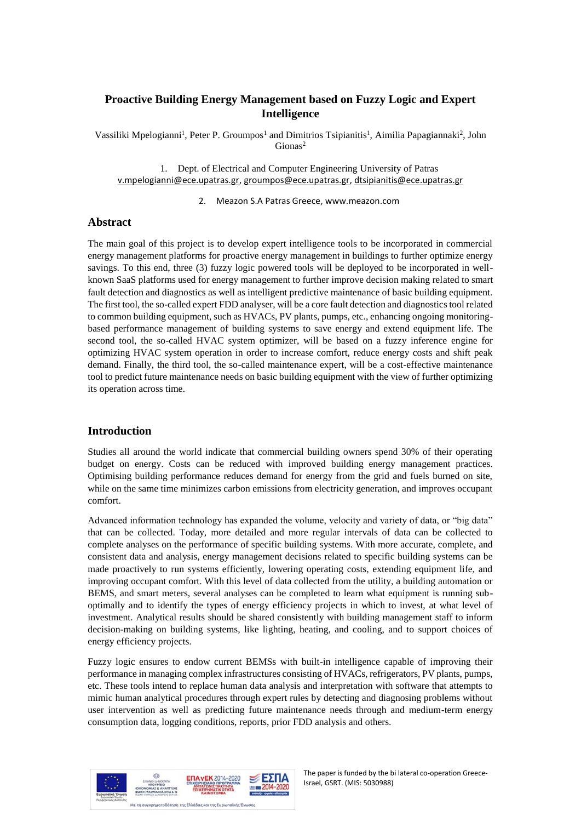# **Proactive Building Energy Management based on Fuzzy Logic and Expert Intelligence**

Vassiliki Mpelogianni<sup>1</sup>, Peter P. Groumpos<sup>1</sup> and Dimitrios Tsipianitis<sup>1</sup>, Aimilia Papagiannaki<sup>2</sup>, John Gionas<sup>2</sup>

1. Dept. of Electrical and Computer Engineering University of Patras [v.mpelogianni@ece.upatras.gr,](mailto:v.mpelogianni@ece.upatras.gr) [groumpos@ece.upatras.gr,](mailto:groumpos@ece.upatras.gr) [dtsipianitis@ece.upatras.gr](mailto:dtsipianitis@ece.upatras.gr)

2. Meazon S.A Patras Greece, www.meazon.com

### **Abstract**

The main goal of this project is to develop expert intelligence tools to be incorporated in commercial energy management platforms for proactive energy management in buildings to further optimize energy savings. To this end, three (3) fuzzy logic powered tools will be deployed to be incorporated in wellknown SaaS platforms used for energy management to further improve decision making related to smart fault detection and diagnostics as well as intelligent predictive maintenance of basic building equipment. The first tool, the so-called expert FDD analyser, will be a core fault detection and diagnostics tool related to common building equipment, such as HVACs, PV plants, pumps, etc., enhancing ongoing monitoringbased performance management of building systems to save energy and extend equipment life. The second tool, the so-called HVAC system optimizer, will be based on a fuzzy inference engine for optimizing HVAC system operation in order to increase comfort, reduce energy costs and shift peak demand. Finally, the third tool, the so-called maintenance expert, will be a cost-effective maintenance tool to predict future maintenance needs on basic building equipment with the view of further optimizing its operation across time.

#### **Introduction**

Studies all around the world indicate that commercial building owners spend 30% of their operating budget on energy. Costs can be reduced with improved building energy management practices. Optimising building performance reduces demand for energy from the grid and fuels burned on site, while on the same time minimizes carbon emissions from electricity generation, and improves occupant comfort.

Advanced information technology has expanded the volume, velocity and variety of data, or "big data" that can be collected. Today, more detailed and more regular intervals of data can be collected to complete analyses on the performance of specific building systems. With more accurate, complete, and consistent data and analysis, energy management decisions related to specific building systems can be made proactively to run systems efficiently, lowering operating costs, extending equipment life, and improving occupant comfort. With this level of data collected from the utility, a building automation or BEMS, and smart meters, several analyses can be completed to learn what equipment is running suboptimally and to identify the types of energy efficiency projects in which to invest, at what level of investment. Analytical results should be shared consistently with building management staff to inform decision-making on building systems, like lighting, heating, and cooling, and to support choices of energy efficiency projects.

Fuzzy logic ensures to endow current BEMSs with built-in intelligence capable of improving their performance in managing complex infrastructures consisting of HVACs, refrigerators, PV plants, pumps, etc. These tools intend to replace human data analysis and interpretation with software that attempts to mimic human analytical procedures through expert rules by detecting and diagnosing problems without user intervention as well as predicting future maintenance needs through and medium-term energy consumption data, logging conditions, reports, prior FDD analysis and others.



The paper is funded by the bi lateral co-operation Greece-Israel, GSRT. (MIS: 5030988)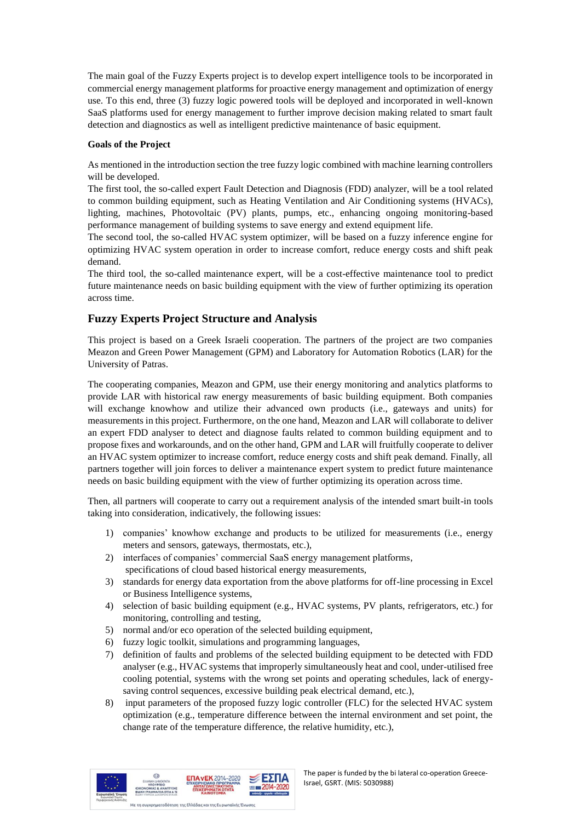The main goal of the Fuzzy Experts project is to develop expert intelligence tools to be incorporated in commercial energy management platforms for proactive energy management and optimization of energy use. To this end, three (3) fuzzy logic powered tools will be deployed and incorporated in well-known SaaS platforms used for energy management to further improve decision making related to smart fault detection and diagnostics as well as intelligent predictive maintenance of basic equipment.

#### **Goals of the Project**

As mentioned in the introduction section the tree fuzzy logic combined with machine learning controllers will be developed.

The first tool, the so-called expert Fault Detection and Diagnosis (FDD) analyzer, will be a tool related to common building equipment, such as Heating Ventilation and Air Conditioning systems (HVACs), lighting, machines, Photovoltaic (PV) plants, pumps, etc., enhancing ongoing monitoring-based performance management of building systems to save energy and extend equipment life.

The second tool, the so-called HVAC system optimizer, will be based on a fuzzy inference engine for optimizing HVAC system operation in order to increase comfort, reduce energy costs and shift peak demand.

The third tool, the so-called maintenance expert, will be a cost-effective maintenance tool to predict future maintenance needs on basic building equipment with the view of further optimizing its operation across time.

## **Fuzzy Experts Project Structure and Analysis**

This project is based on a Greek Israeli cooperation. The partners of the project are two companies Meazon and Green Power Management (GPM) and Laboratory for Automation Robotics (LAR) for the University of Patras.

The cooperating companies, Meazon and GPM, use their energy monitoring and analytics platforms to provide LAR with historical raw energy measurements of basic building equipment. Both companies will exchange knowhow and utilize their advanced own products (i.e., gateways and units) for measurements in this project. Furthermore, on the one hand, Meazon and LAR will collaborate to deliver an expert FDD analyser to detect and diagnose faults related to common building equipment and to propose fixes and workarounds, and on the other hand, GPM and LAR will fruitfully cooperate to deliver an HVAC system optimizer to increase comfort, reduce energy costs and shift peak demand. Finally, all partners together will join forces to deliver a maintenance expert system to predict future maintenance needs on basic building equipment with the view of further optimizing its operation across time.

Then, all partners will cooperate to carry out a requirement analysis of the intended smart built-in tools taking into consideration, indicatively, the following issues:

- 1) companies' knowhow exchange and products to be utilized for measurements (i.e., energy meters and sensors, gateways, thermostats, etc.),
- 2) interfaces of companies' commercial SaaS energy management platforms, specifications of cloud based historical energy measurements,
- 3) standards for energy data exportation from the above platforms for off-line processing in Excel or Business Intelligence systems,
- 4) selection of basic building equipment (e.g., HVAC systems, PV plants, refrigerators, etc.) for monitoring, controlling and testing,
- 5) normal and/or eco operation of the selected building equipment,
- 6) fuzzy logic toolkit, simulations and programming languages,
- 7) definition of faults and problems of the selected building equipment to be detected with FDD analyser (e.g., HVAC systems that improperly simultaneously heat and cool, under-utilised free cooling potential, systems with the wrong set points and operating schedules, lack of energysaving control sequences, excessive building peak electrical demand, etc.),
- 8) input parameters of the proposed fuzzy logic controller (FLC) for the selected HVAC system optimization (e.g., temperature difference between the internal environment and set point, the change rate of the temperature difference, the relative humidity, etc.),